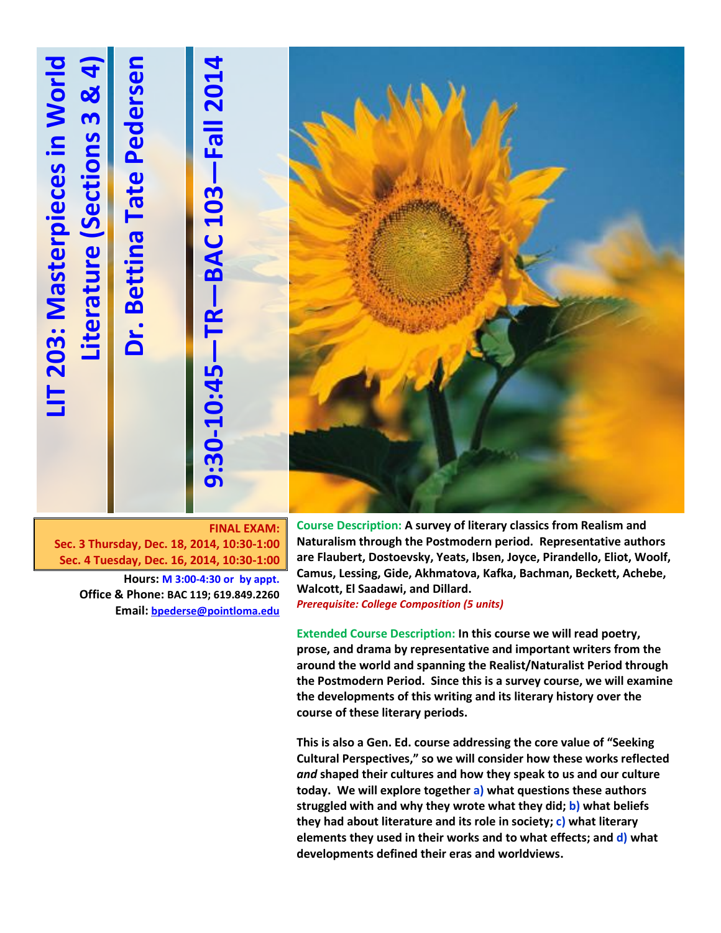# **LIT 203: Masterpieces in World 4**LIT 203: Masterpieces in World **)**Dr. Bettina Tate Pedersen **Dr. Bettina Tate Pedersen 3 & 4 —Fall 201 Literature (Sections Literature (Section —BAC 103 —TR -10:45 9:30**

**FINAL EXAM: Sec. 3 Thursday, Dec. 18, 2014, 10:30-1:00 Sec. 4 Tuesday, Dec. 16, 2014, 10:30-1:00**

> **Hours: M 3:00-4:30 or by appt. Office & Phone: BAC 119; 619.849.2260 Email: [bpederse@pointloma.edu](mailto:bpederse@pointloma.edu)**

**Course Description: A survey of literary classics from Realism and Naturalism through the Postmodern period. Representative authors are Flaubert, Dostoevsky, Yeats, Ibsen, Joyce, Pirandello, Eliot, Woolf, Camus, Lessing, Gide, Akhmatova, Kafka, Bachman, Beckett, Achebe, Walcott, El Saadawi, and Dillard.** *Prerequisite: College Composition (5 units)*

**Extended Course Description: In this course we will read poetry, prose, and drama by representative and important writers from the around the world and spanning the Realist/Naturalist Period through the Postmodern Period. Since this is a survey course, we will examine the developments of this writing and its literary history over the course of these literary periods.** 

**This is also a Gen. Ed. course addressing the core value of "Seeking Cultural Perspectives," so we will consider how these works reflected**  *and* **shaped their cultures and how they speak to us and our culture today. We will explore together a) what questions these authors struggled with and why they wrote what they did; b) what beliefs they had about literature and its role in society; c) what literary elements they used in their works and to what effects; and d) what developments defined their eras and worldviews.**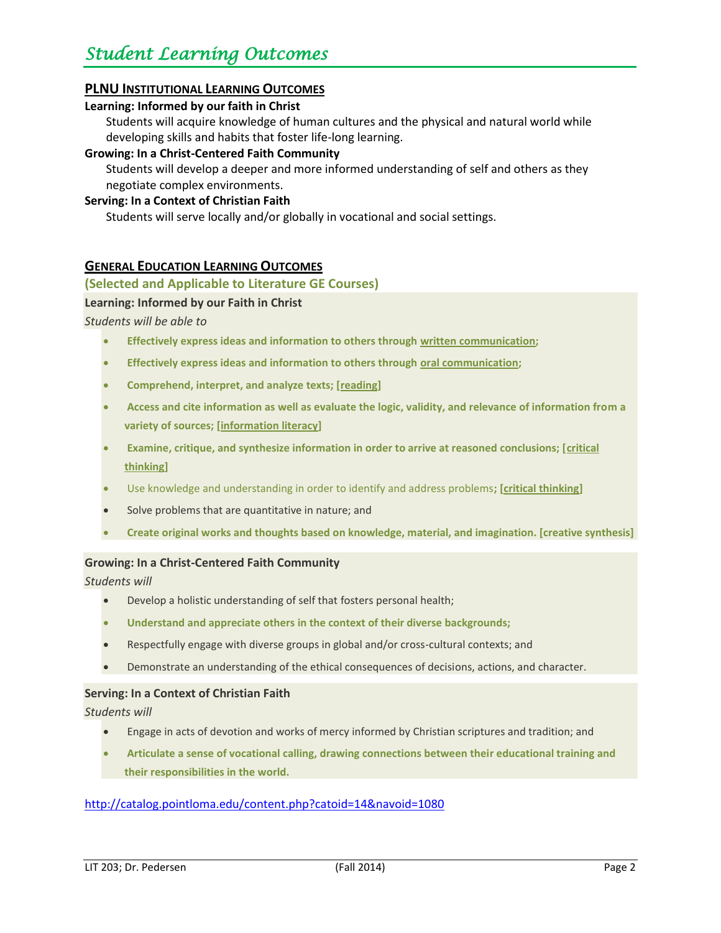### **PLNU INSTITUTIONAL LEARNING OUTCOMES**

#### **Learning: Informed by our faith in Christ**

Students will acquire knowledge of human cultures and the physical and natural world while developing skills and habits that foster life-long learning.

#### **Growing: In a Christ-Centered Faith Community**

Students will develop a deeper and more informed understanding of self and others as they negotiate complex environments.

#### **Serving: In a Context of Christian Faith**

Students will serve locally and/or globally in vocational and social settings.

### **GENERAL EDUCATION LEARNING OUTCOMES**

#### **(Selected and Applicable to Literature GE Courses)**

#### **Learning: Informed by our Faith in Christ**

#### *Students will be able to*

- **Effectively express ideas and information to others through written communication;**
- **Effectively express ideas and information to others through oral communication;**
- **Comprehend, interpret, and analyze texts; [reading]**
- **Access and cite information as well as evaluate the logic, validity, and relevance of information from a variety of sources; [information literacy]**
- Examine, critique, and synthesize information in order to arrive at reasoned conclusions; [critical **thinking]**
- Use knowledge and understanding in order to identify and address problems**; [critical thinking]**
- Solve problems that are quantitative in nature; and
- **Create original works and thoughts based on knowledge, material, and imagination. [creative synthesis]**

### **Growing: In a Christ-Centered Faith Community**

*Students will*

- Develop a holistic understanding of self that fosters personal health;
- **Understand and appreciate others in the context of their diverse backgrounds;**
- Respectfully engage with diverse groups in global and/or cross-cultural contexts; and
- Demonstrate an understanding of the ethical consequences of decisions, actions, and character.

#### **Serving: In a Context of Christian Faith**

*Students will*

- Engage in acts of devotion and works of mercy informed by Christian scriptures and tradition; and
- **Articulate a sense of vocational calling, drawing connections between their educational training and their responsibilities in the world.**

### <http://catalog.pointloma.edu/content.php?catoid=14&navoid=1080>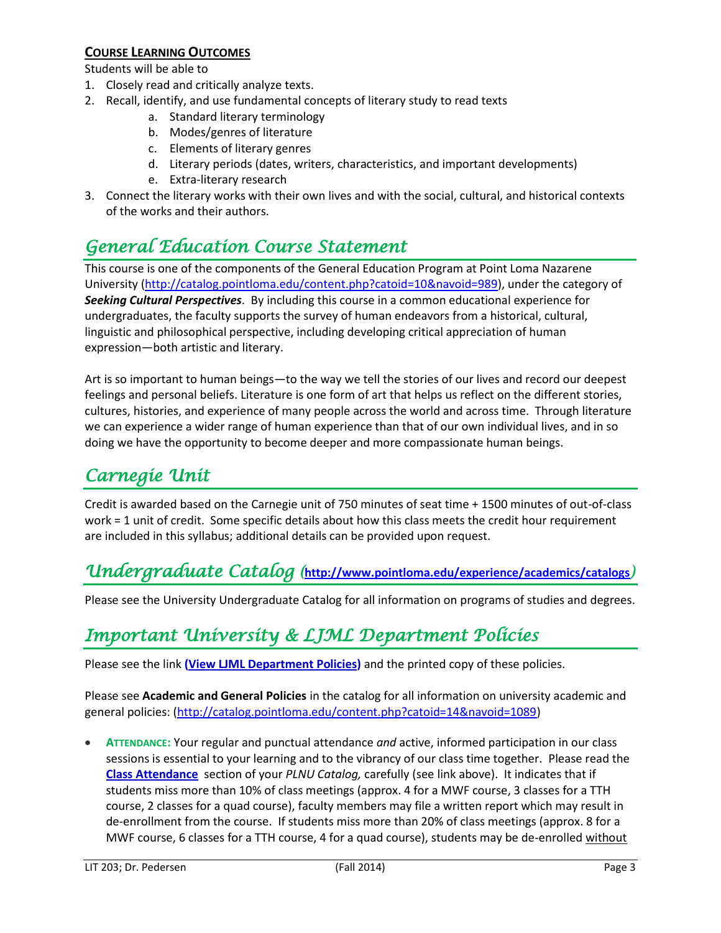### **COURSE LEARNING OUTCOMES**

Students will be able to

- 1. Closely read and critically analyze texts.
- 2. Recall, identify, and use fundamental concepts of literary study to read texts
	- a. Standard literary terminology
	- b. Modes/genres of literature
	- c. Elements of literary genres
	- d. Literary periods (dates, writers, characteristics, and important developments)
	- e. Extra-literary research
- 3. Connect the literary works with their own lives and with the social, cultural, and historical contexts of the works and their authors.

### *General Education Course Statement*

This course is one of the components of the General Education Program at Point Loma Nazarene University [\(http://catalog.pointloma.edu/content.php?catoid=10&navoid=989\)](http://catalog.pointloma.edu/content.php?catoid=10&navoid=989), under the category of *Seeking Cultural Perspectives*. By including this course in a common educational experience for undergraduates, the faculty supports the survey of human endeavors from a historical, cultural, linguistic and philosophical perspective, including developing critical appreciation of human expression—both artistic and literary.

Art is so important to human beings—to the way we tell the stories of our lives and record our deepest feelings and personal beliefs. Literature is one form of art that helps us reflect on the different stories, cultures, histories, and experience of many people across the world and across time. Through literature we can experience a wider range of human experience than that of our own individual lives, and in so doing we have the opportunity to become deeper and more compassionate human beings.

### *Carnegie Unit*

Credit is awarded based on the Carnegie unit of 750 minutes of seat time + 1500 minutes of out-of-class work = 1 unit of credit. Some specific details about how this class meets the credit hour requirement are included in this syllabus; additional details can be provided upon request.

### *Undergraduate Catalog (***<http://www.pointloma.edu/experience/academics/catalogs>***)*

Please see the University Undergraduate Catalog for all information on programs of studies and degrees.

### *Important University & LJML Department Policies*

Please see the link **(View LJML [Department](http://www.pointloma.edu/sites/default/files/filemanager/Literature_Journalism__Modern_Languages/LJML_Department_Syllabus_Statments_final_1.docx) Policies)** and the printed copy of these policies.

Please see **Academic and General Policies** in the catalog for all information on university academic and general policies: [\(http://catalog.pointloma.edu/content.php?catoid=14&navoid=1089\)](http://catalog.pointloma.edu/content.php?catoid=14&navoid=1089)

 **ATTENDANCE:** Your regular and punctual attendance *and* active, informed participation in our class sessions is essential to your learning and to the vibrancy of our class time together. Please read the **[Class Attendance](http://catalog.pointloma.edu/content.php?catoid=14&navoid=1089#Class_Attendance)** section of your *PLNU Catalog,* carefully (see link above). It indicates that if students miss more than 10% of class meetings (approx. 4 for a MWF course, 3 classes for a TTH course, 2 classes for a quad course), faculty members may file a written report which may result in de-enrollment from the course. If students miss more than 20% of class meetings (approx. 8 for a MWF course, 6 classes for a TTH course, 4 for a quad course), students may be de-enrolled without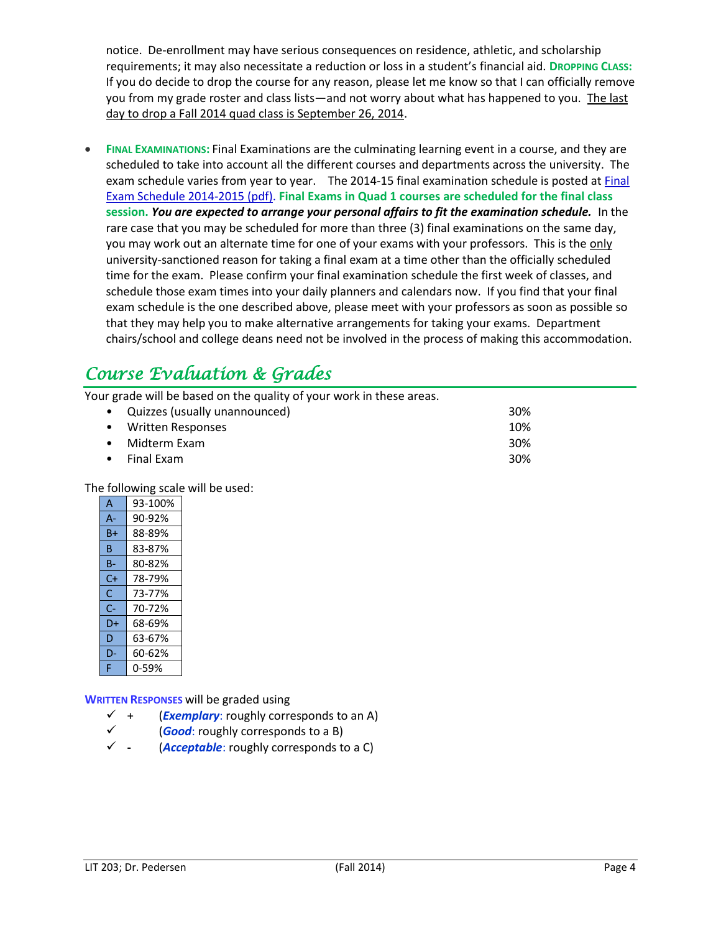notice. De-enrollment may have serious consequences on residence, athletic, and scholarship requirements; it may also necessitate a reduction or loss in a student's financial aid. **DROPPING CLASS:** If you do decide to drop the course for any reason, please let me know so that I can officially remove you from my grade roster and class lists—and not worry about what has happened to you. The last day to drop a Fall 2014 quad class is September 26, 2014.

 **FINAL EXAMINATIONS:** Final Examinations are the culminating learning event in a course, and they are scheduled to take into account all the different courses and departments across the university. The exam schedule varies from year to year. The 2014-15 final examination schedule is posted at [Final](http://www.pointloma.edu/sites/default/files/filemanager/Academic_Affairs/Calendars/Final_Exam_Schedule_2014-2015.pdf) Exam Schedule [2014-2015](http://www.pointloma.edu/sites/default/files/filemanager/Academic_Affairs/Calendars/Final_Exam_Schedule_2014-2015.pdf) (pdf). **Final Exams in Quad 1 courses are scheduled for the final class session.** *You are expected to arrange your personal affairs to fit the examination schedule.* In the rare case that you may be scheduled for more than three (3) final examinations on the same day, you may work out an alternate time for one of your exams with your professors. This is the only university-sanctioned reason for taking a final exam at a time other than the officially scheduled time for the exam. Please confirm your final examination schedule the first week of classes, and schedule those exam times into your daily planners and calendars now. If you find that your final exam schedule is the one described above, please meet with your professors as soon as possible so that they may help you to make alternative arrangements for taking your exams. Department chairs/school and college deans need not be involved in the process of making this accommodation.

### *Course Evaluation & Grades*

Your grade will be based on the quality of your work in these areas.

| • Quizzes (usually unannounced) | <b>30%</b> |
|---------------------------------|------------|
| • Written Responses             | 10%        |
| • Midterm Exam                  | 30%        |
| $\bullet$ Final Exam            | 30%        |

The following scale will be used:

| A    | 93-100% |
|------|---------|
| А-   | 90-92%  |
| Β+   | 88-89%  |
| B    | 83-87%  |
| B-   | 80-82%  |
| $C+$ | 78-79%  |
| C    | 73-77%  |
| C-   | 70-72%  |
| D+   | 68-69%  |
| D    | 63-67%  |
| D-   | 60-62%  |
| F    | 0-59%   |

**WRITTEN RESPONSES** will be graded using

- $\checkmark$  + (*Exemplary*: roughly corresponds to an A)
- (*Good*: roughly corresponds to a B)
- **-** (*Acceptable*: roughly corresponds to a C)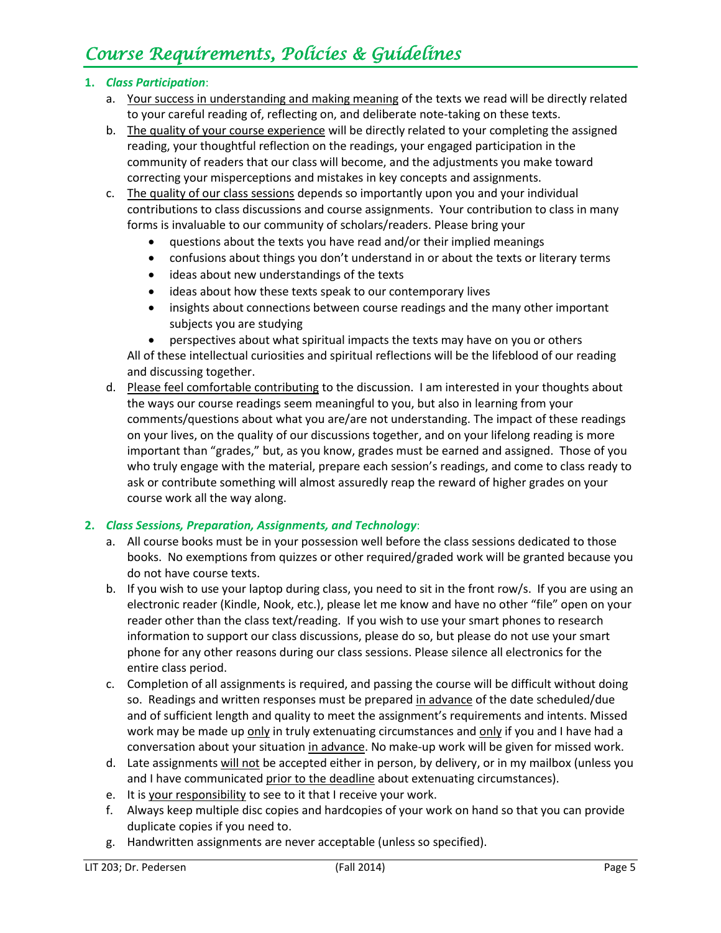### *Course Requirements, Policies & Guidelines*

### **1.** *Class Participation*:

- a. Your success in understanding and making meaning of the texts we read will be directly related to your careful reading of, reflecting on, and deliberate note-taking on these texts.
- b. The quality of your course experience will be directly related to your completing the assigned reading, your thoughtful reflection on the readings, your engaged participation in the community of readers that our class will become, and the adjustments you make toward correcting your misperceptions and mistakes in key concepts and assignments.
- c. The quality of our class sessions depends so importantly upon you and your individual contributions to class discussions and course assignments. Your contribution to class in many forms is invaluable to our community of scholars/readers. Please bring your
	- questions about the texts you have read and/or their implied meanings
	- confusions about things you don't understand in or about the texts or literary terms
	- ideas about new understandings of the texts
	- ideas about how these texts speak to our contemporary lives
	- insights about connections between course readings and the many other important subjects you are studying
	- perspectives about what spiritual impacts the texts may have on you or others

All of these intellectual curiosities and spiritual reflections will be the lifeblood of our reading and discussing together.

d. Please feel comfortable contributing to the discussion. I am interested in your thoughts about the ways our course readings seem meaningful to you, but also in learning from your comments/questions about what you are/are not understanding. The impact of these readings on your lives, on the quality of our discussions together, and on your lifelong reading is more important than "grades," but, as you know, grades must be earned and assigned. Those of you who truly engage with the material, prepare each session's readings, and come to class ready to ask or contribute something will almost assuredly reap the reward of higher grades on your course work all the way along.

### **2.** *Class Sessions, Preparation, Assignments, and Technology*:

- a. All course books must be in your possession well before the class sessions dedicated to those books. No exemptions from quizzes or other required/graded work will be granted because you do not have course texts.
- b. If you wish to use your laptop during class, you need to sit in the front row/s. If you are using an electronic reader (Kindle, Nook, etc.), please let me know and have no other "file" open on your reader other than the class text/reading. If you wish to use your smart phones to research information to support our class discussions, please do so, but please do not use your smart phone for any other reasons during our class sessions. Please silence all electronics for the entire class period.
- c. Completion of all assignments is required, and passing the course will be difficult without doing so. Readings and written responses must be prepared in advance of the date scheduled/due and of sufficient length and quality to meet the assignment's requirements and intents. Missed work may be made up only in truly extenuating circumstances and only if you and I have had a conversation about your situation in advance. No make-up work will be given for missed work.
- d. Late assignments will not be accepted either in person, by delivery, or in my mailbox (unless you and I have communicated prior to the deadline about extenuating circumstances).
- e. It is your responsibility to see to it that I receive your work.
- f. Always keep multiple disc copies and hardcopies of your work on hand so that you can provide duplicate copies if you need to.
- g. Handwritten assignments are never acceptable (unless so specified).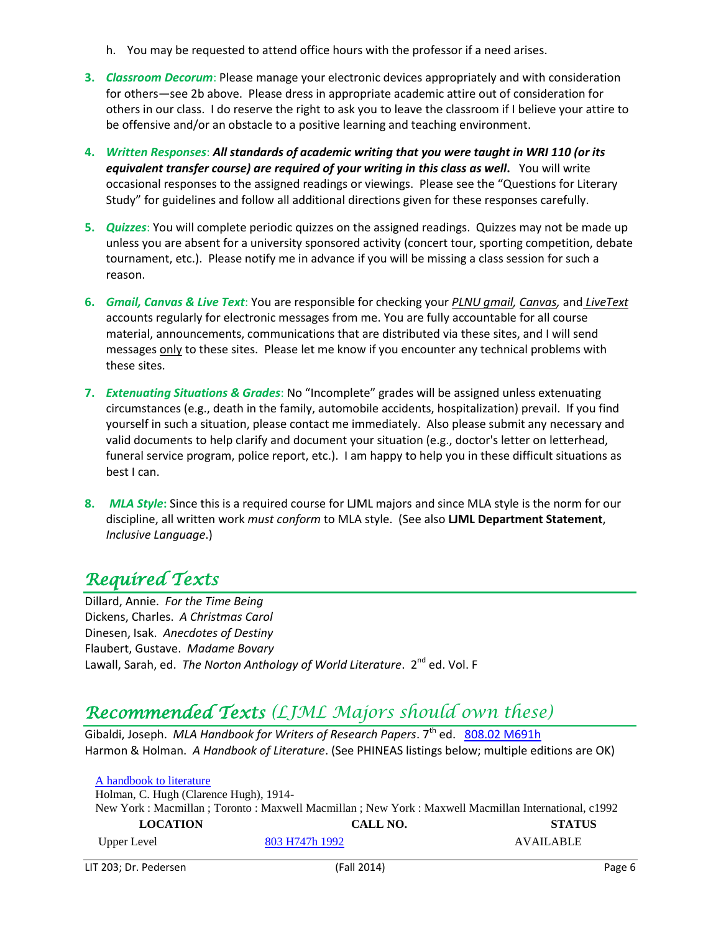- h. You may be requested to attend office hours with the professor if a need arises.
- **3.** *Classroom Decorum*: Please manage your electronic devices appropriately and with consideration for others—see 2b above. Please dress in appropriate academic attire out of consideration for others in our class. I do reserve the right to ask you to leave the classroom if I believe your attire to be offensive and/or an obstacle to a positive learning and teaching environment.
- **4.** *Written Responses*: *All standards of academic writing that you were taught in WRI 110 (or its equivalent transfer course) are required of your writing in this class as well***.** You will write occasional responses to the assigned readings or viewings. Please see the "Questions for Literary Study" for guidelines and follow all additional directions given for these responses carefully.
- **5.** *Quizzes*: You will complete periodic quizzes on the assigned readings. Quizzes may not be made up unless you are absent for a university sponsored activity (concert tour, sporting competition, debate tournament, etc.). Please notify me in advance if you will be missing a class session for such a reason.
- **6.** *Gmail, Canvas & Live Text*: You are responsible for checking your *PLNU gmail, Canvas,* and *LiveText*  accounts regularly for electronic messages from me. You are fully accountable for all course material, announcements, communications that are distributed via these sites, and I will send messages only to these sites. Please let me know if you encounter any technical problems with these sites.
- **7.** *Extenuating Situations & Grades*: No "Incomplete" grades will be assigned unless extenuating circumstances (e.g., death in the family, automobile accidents, hospitalization) prevail. If you find yourself in such a situation, please contact me immediately. Also please submit any necessary and valid documents to help clarify and document your situation (e.g., doctor's letter on letterhead, funeral service program, police report, etc.). I am happy to help you in these difficult situations as best I can.
- **8.** *MLA Style***:** Since this is a required course for LJML majors and since MLA style is the norm for our discipline, all written work *must conform* to MLA style. (See also **LJML Department Statement**, *Inclusive Language*.)

### *Required Texts*

Dillard, Annie. *For the Time Being* Dickens, Charles. *A Christmas Carol* Dinesen, Isak. *Anecdotes of Destiny*  Flaubert, Gustave. *Madame Bovary* Lawall, Sarah, ed. *The Norton Anthology of World Literature*. 2<sup>nd</sup> ed. Vol. F

### *Recommended Texts (LJML Majors should own these)*

Gibaldi, Joseph. *MLA Handbook for Writers of Research Papers*. 7<sup>th</sup> ed. [808.02 M691h](http://phineas.pointloma.edu/search~S0?/c808.02+M691h/c808.02+m691h/-3,-1,,E/browse) Harmon & Holman. *A Handbook of Literature*. (See PHINEAS listings below; multiple editions are OK)

| A handbook to literature                                                                               |                |                  |  |  |  |
|--------------------------------------------------------------------------------------------------------|----------------|------------------|--|--|--|
| Holman, C. Hugh (Clarence Hugh), 1914-                                                                 |                |                  |  |  |  |
| New York : Macmillan ; Toronto : Maxwell Macmillan ; New York : Maxwell Macmillan International, c1992 |                |                  |  |  |  |
| <b>LOCATION</b>                                                                                        | CALL NO.       | <b>STATUS</b>    |  |  |  |
| Upper Level                                                                                            | 803 H747h 1992 | <b>AVAILABLE</b> |  |  |  |

LIT 203; Dr. Pedersen (Fall 2014) Page 6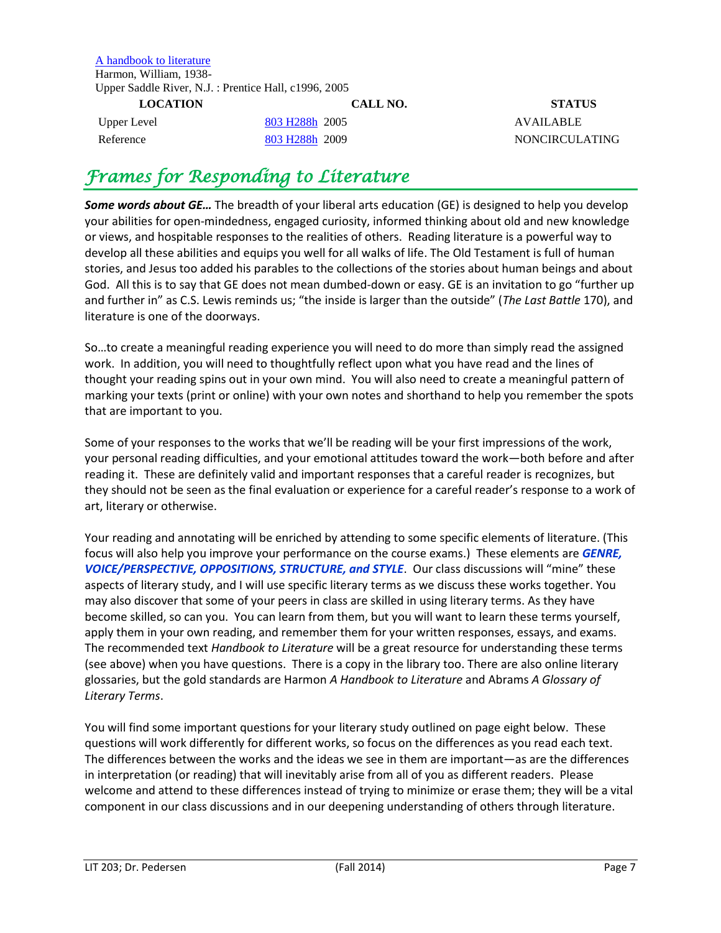[A handbook to literature](http://phineas.pointloma.edu/search~S0?/thandbook+to+literature/thandbook+to+literature/1%2C1%2C2%2CB/frameset&FF=thandbook+to+literature&2%2C%2C2/indexsort=-) Harmon, William, 1938- Upper Saddle River, N.J. : Prentice Hall, c1996, 2005

**LOCATION CALL NO. STATUS**  Upper Level [803 H288h](http://phineas.pointloma.edu/search~S0?/c803+H288h/c803+h288h/-3,-1,,E/browse) 2005 AVAILABLE Reference [803 H288h](http://phineas.pointloma.edu/search~S0?/c803+H288h/c803+h288h/-3,-1,,E/browse) 2009 NONCIRCULATING

### *Frames for Responding to Literature*

*Some words about GE…* The breadth of your liberal arts education (GE) is designed to help you develop your abilities for open-mindedness, engaged curiosity, informed thinking about old and new knowledge or views, and hospitable responses to the realities of others. Reading literature is a powerful way to develop all these abilities and equips you well for all walks of life. The Old Testament is full of human stories, and Jesus too added his parables to the collections of the stories about human beings and about God. All this is to say that GE does not mean dumbed-down or easy. GE is an invitation to go "further up and further in" as C.S. Lewis reminds us; "the inside is larger than the outside" (*The Last Battle* 170), and literature is one of the doorways.

So…to create a meaningful reading experience you will need to do more than simply read the assigned work. In addition, you will need to thoughtfully reflect upon what you have read and the lines of thought your reading spins out in your own mind. You will also need to create a meaningful pattern of marking your texts (print or online) with your own notes and shorthand to help you remember the spots that are important to you.

Some of your responses to the works that we'll be reading will be your first impressions of the work, your personal reading difficulties, and your emotional attitudes toward the work—both before and after reading it. These are definitely valid and important responses that a careful reader is recognizes, but they should not be seen as the final evaluation or experience for a careful reader's response to a work of art, literary or otherwise.

Your reading and annotating will be enriched by attending to some specific elements of literature. (This focus will also help you improve your performance on the course exams.) These elements are *GENRE, VOICE/PERSPECTIVE, OPPOSITIONS, STRUCTURE, and STYLE*. Our class discussions will "mine" these aspects of literary study, and I will use specific literary terms as we discuss these works together. You may also discover that some of your peers in class are skilled in using literary terms. As they have become skilled, so can you. You can learn from them, but you will want to learn these terms yourself, apply them in your own reading, and remember them for your written responses, essays, and exams. The recommended text *Handbook to Literature* will be a great resource for understanding these terms (see above) when you have questions. There is a copy in the library too. There are also online literary glossaries, but the gold standards are Harmon *A Handbook to Literature* and Abrams *A Glossary of Literary Terms*.

You will find some important questions for your literary study outlined on page eight below. These questions will work differently for different works, so focus on the differences as you read each text. The differences between the works and the ideas we see in them are important—as are the differences in interpretation (or reading) that will inevitably arise from all of you as different readers. Please welcome and attend to these differences instead of trying to minimize or erase them; they will be a vital component in our class discussions and in our deepening understanding of others through literature.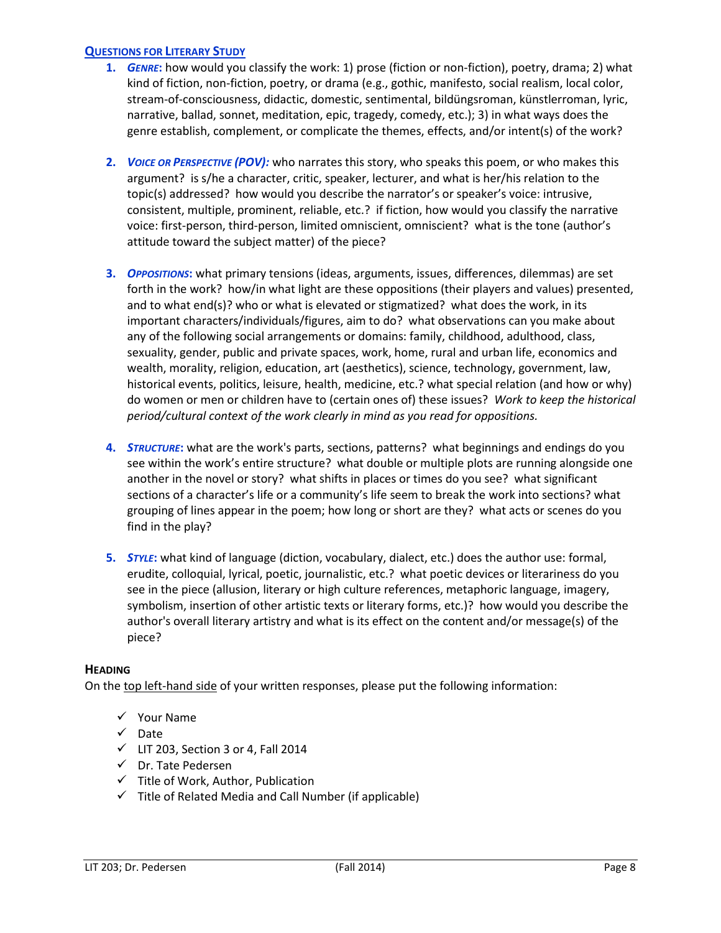### **QUESTIONS FOR LITERARY STUDY**

- **1.** *GENRE***:** how would you classify the work: 1) prose (fiction or non-fiction), poetry, drama; 2) what kind of fiction, non-fiction, poetry, or drama (e.g., gothic, manifesto, social realism, local color, stream-of-consciousness, didactic, domestic, sentimental, bildüngsroman, künstlerroman, lyric, narrative, ballad, sonnet, meditation, epic, tragedy, comedy, etc.); 3) in what ways does the genre establish, complement, or complicate the themes, effects, and/or intent(s) of the work?
- **2.** *VOICE OR PERSPECTIVE (POV):* who narrates this story, who speaks this poem, or who makes this argument? is s/he a character, critic, speaker, lecturer, and what is her/his relation to the topic(s) addressed? how would you describe the narrator's or speaker's voice: intrusive, consistent, multiple, prominent, reliable, etc.? if fiction, how would you classify the narrative voice: first-person, third-person, limited omniscient, omniscient? what is the tone (author's attitude toward the subject matter) of the piece?
- **3.** *OPPOSITIONS***:** what primary tensions (ideas, arguments, issues, differences, dilemmas) are set forth in the work? how/in what light are these oppositions (their players and values) presented, and to what end(s)? who or what is elevated or stigmatized? what does the work, in its important characters/individuals/figures, aim to do? what observations can you make about any of the following social arrangements or domains: family, childhood, adulthood, class, sexuality, gender, public and private spaces, work, home, rural and urban life, economics and wealth, morality, religion, education, art (aesthetics), science, technology, government, law, historical events, politics, leisure, health, medicine, etc.? what special relation (and how or why) do women or men or children have to (certain ones of) these issues? *Work to keep the historical period/cultural context of the work clearly in mind as you read for oppositions.*
- **4.** *STRUCTURE***:** what are the work's parts, sections, patterns? what beginnings and endings do you see within the work's entire structure? what double or multiple plots are running alongside one another in the novel or story? what shifts in places or times do you see? what significant sections of a character's life or a community's life seem to break the work into sections? what grouping of lines appear in the poem; how long or short are they? what acts or scenes do you find in the play?
- **5.** *STYLE***:** what kind of language (diction, vocabulary, dialect, etc.) does the author use: formal, erudite, colloquial, lyrical, poetic, journalistic, etc.? what poetic devices or literariness do you see in the piece (allusion, literary or high culture references, metaphoric language, imagery, symbolism, insertion of other artistic texts or literary forms, etc.)? how would you describe the author's overall literary artistry and what is its effect on the content and/or message(s) of the piece?

### **HEADING**

On the top left-hand side of your written responses, please put the following information:

- $\checkmark$  Your Name
- $\checkmark$  Date
- $\checkmark$  LIT 203, Section 3 or 4, Fall 2014
- Dr. Tate Pedersen
- $\checkmark$  Title of Work, Author, Publication
- $\checkmark$  Title of Related Media and Call Number (if applicable)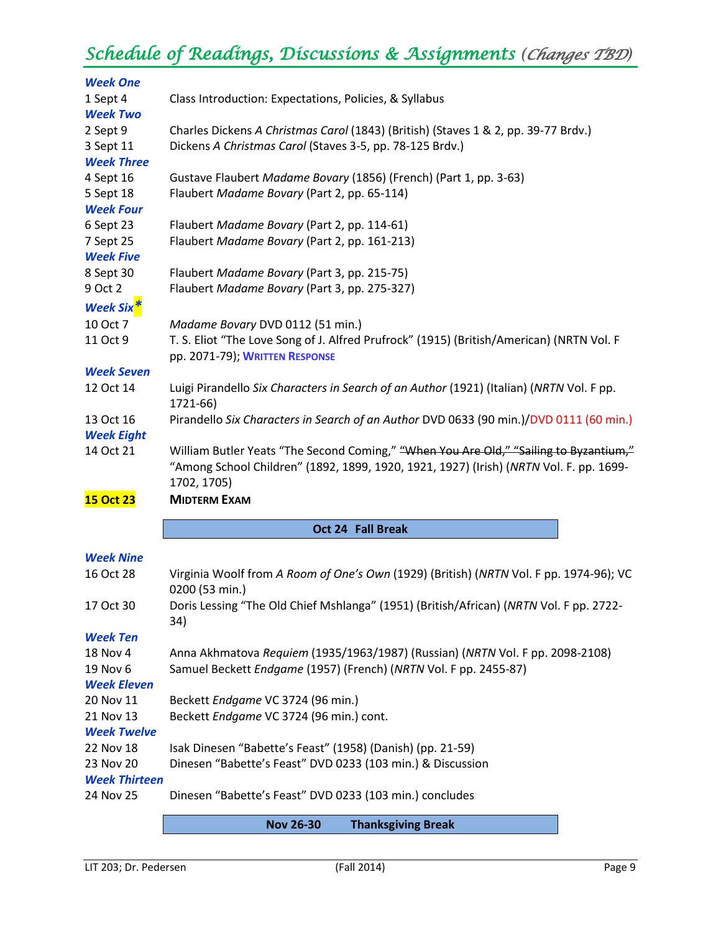## *Schedule of Readings, Discussions & Assignments (Changes TBD)*

| <b>Week One</b>                 |                                                                                                                          |
|---------------------------------|--------------------------------------------------------------------------------------------------------------------------|
| 1 Sept 4<br><b>Week Two</b>     | Class Introduction: Expectations, Policies, & Syllabus                                                                   |
| 2 Sept 9                        | Charles Dickens A Christmas Carol (1843) (British) (Staves 1 & 2, pp. 39-77 Brdv.)                                       |
| 3 Sept 11                       | Dickens A Christmas Carol (Staves 3-5, pp. 78-125 Brdv.)                                                                 |
| <b>Week Three</b>               |                                                                                                                          |
| 4 Sept 16                       | Gustave Flaubert Madame Bovary (1856) (French) (Part 1, pp. 3-63)                                                        |
| 5 Sept 18                       | Flaubert Madame Bovary (Part 2, pp. 65-114)                                                                              |
| <b>Week Four</b>                |                                                                                                                          |
| 6 Sept 23                       | Flaubert Madame Bovary (Part 2, pp. 114-61)                                                                              |
| 7 Sept 25                       | Flaubert Madame Bovary (Part 2, pp. 161-213)                                                                             |
| <b>Week Five</b>                |                                                                                                                          |
| 8 Sept 30                       | Flaubert Madame Bovary (Part 3, pp. 215-75)                                                                              |
| 9 Oct 2                         | Flaubert Madame Bovary (Part 3, pp. 275-327)                                                                             |
| <b>Week Six<sup>3</sup></b>     |                                                                                                                          |
| 10 Oct 7                        | Madame Bovary DVD 0112 (51 min.)                                                                                         |
| 11 Oct 9                        | T. S. Eliot "The Love Song of J. Alfred Prufrock" (1915) (British/American) (NRTN Vol. F                                 |
|                                 | pp. 2071-79); WRITTEN RESPONSE                                                                                           |
| <b>Week Seven</b>               |                                                                                                                          |
| 12 Oct 14                       | Luigi Pirandello Six Characters in Search of an Author (1921) (Italian) (NRTN Vol. F pp.                                 |
|                                 | 1721-66)                                                                                                                 |
| 13 Oct 16                       | Pirandello Six Characters in Search of an Author DVD 0633 (90 min.)/DVD 0111 (60 min.)                                   |
| <b>Week Eight</b>               |                                                                                                                          |
| 14 Oct 21                       | William Butler Yeats "The Second Coming," "When You Are Old," "Sailing to Byzantium,"                                    |
|                                 | "Among School Children" (1892, 1899, 1920, 1921, 1927) (Irish) (NRTN Vol. F. pp. 1699-                                   |
|                                 | 1702, 1705)                                                                                                              |
| <b>15 Oct 23</b>                | <b>MIDTERM EXAM</b>                                                                                                      |
|                                 | Oct 24 Fall Break                                                                                                        |
|                                 |                                                                                                                          |
| <b>Week Nine</b>                |                                                                                                                          |
| 16 Oct 28                       | Virginia Woolf from A Room of One's Own (1929) (British) (NRTN Vol. F pp. 1974-96); VC                                   |
|                                 | 0200 (53 min.)                                                                                                           |
| 17 Oct 30                       | Doris Lessing "The Old Chief Mshlanga" (1951) (British/African) (NRTN Vol. F pp. 2722-                                   |
| <b>Week Ten</b>                 | 34)                                                                                                                      |
| 18 Nov 4                        |                                                                                                                          |
| 19 Nov 6                        |                                                                                                                          |
|                                 | Anna Akhmatova Requiem (1935/1963/1987) (Russian) (NRTN Vol. F pp. 2098-2108)                                            |
|                                 | Samuel Beckett Endgame (1957) (French) (NRTN Vol. F pp. 2455-87)                                                         |
| <b>Week Eleven</b>              |                                                                                                                          |
| 20 Nov 11                       | Beckett Endgame VC 3724 (96 min.)                                                                                        |
| 21 Nov 13                       | Beckett Endgame VC 3724 (96 min.) cont.                                                                                  |
| <b>Week Twelve</b><br>22 Nov 18 |                                                                                                                          |
| 23 Nov 20                       | Isak Dinesen "Babette's Feast" (1958) (Danish) (pp. 21-59)<br>Dinesen "Babette's Feast" DVD 0233 (103 min.) & Discussion |
| <b>Week Thirteen</b>            |                                                                                                                          |
| 24 Nov 25                       | Dinesen "Babette's Feast" DVD 0233 (103 min.) concludes                                                                  |

**Nov 26-30 Thanksgiving Break**